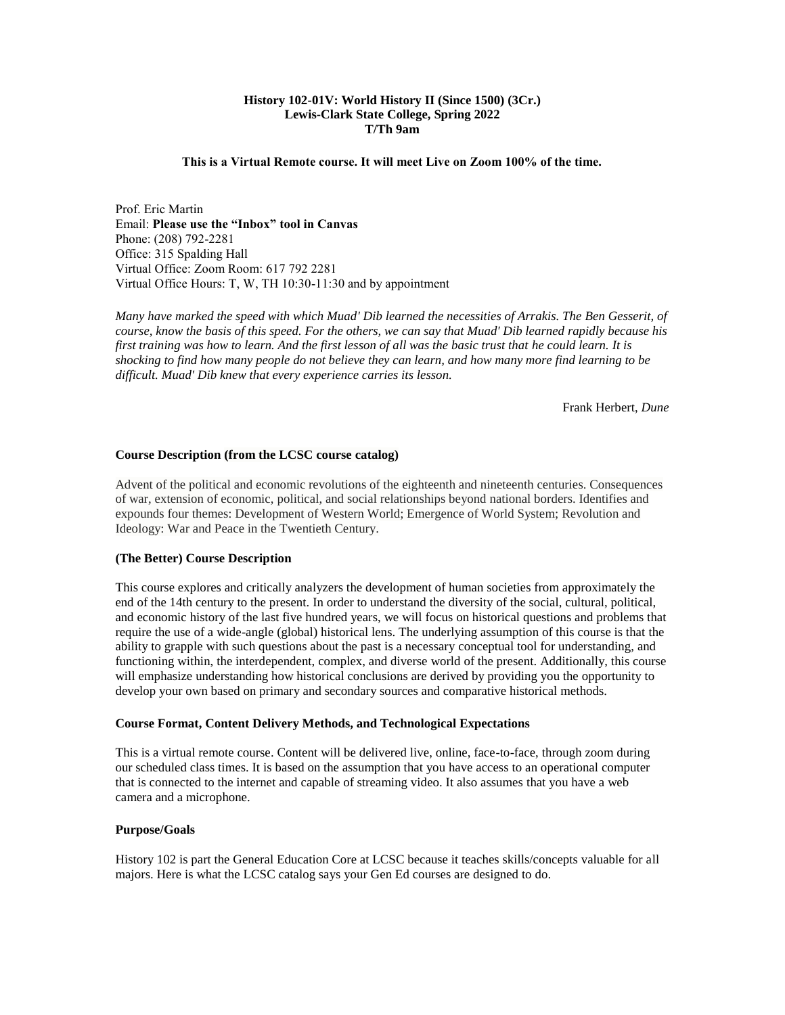## **History 102-01V: World History II (Since 1500) (3Cr.) Lewis-Clark State College, Spring 2022 T/Th 9am**

### **This is a Virtual Remote course. It will meet Live on Zoom 100% of the time.**

Prof. Eric Martin Email: **Please use the "Inbox" tool in Canvas** Phone: (208) 792-2281 Office: 315 Spalding Hall Virtual Office: Zoom Room: 617 792 2281 Virtual Office Hours: T, W, TH 10:30-11:30 and by appointment

*Many have marked the speed with which Muad' Dib learned the necessities of Arrakis. The Ben Gesserit, of course, know the basis of this speed. For the others, we can say that Muad' Dib learned rapidly because his first training was how to learn. And the first lesson of all was the basic trust that he could learn. It is shocking to find how many people do not believe they can learn, and how many more find learning to be difficult. Muad' Dib knew that every experience carries its lesson.*

Frank Herbert, *Dune*

### **Course Description (from the LCSC course catalog)**

Advent of the political and economic revolutions of the eighteenth and nineteenth centuries. Consequences of war, extension of economic, political, and social relationships beyond national borders. Identifies and expounds four themes: Development of Western World; Emergence of World System; Revolution and Ideology: War and Peace in the Twentieth Century.

#### **(The Better) Course Description**

This course explores and critically analyzers the development of human societies from approximately the end of the 14th century to the present. In order to understand the diversity of the social, cultural, political, and economic history of the last five hundred years, we will focus on historical questions and problems that require the use of a wide-angle (global) historical lens. The underlying assumption of this course is that the ability to grapple with such questions about the past is a necessary conceptual tool for understanding, and functioning within, the interdependent, complex, and diverse world of the present. Additionally, this course will emphasize understanding how historical conclusions are derived by providing you the opportunity to develop your own based on primary and secondary sources and comparative historical methods.

#### **Course Format, Content Delivery Methods, and Technological Expectations**

This is a virtual remote course. Content will be delivered live, online, face-to-face, through zoom during our scheduled class times. It is based on the assumption that you have access to an operational computer that is connected to the internet and capable of streaming video. It also assumes that you have a web camera and a microphone.

#### **Purpose/Goals**

History 102 is part the General Education Core at LCSC because it teaches skills/concepts valuable for all majors. Here is what the LCSC catalog says your Gen Ed courses are designed to do.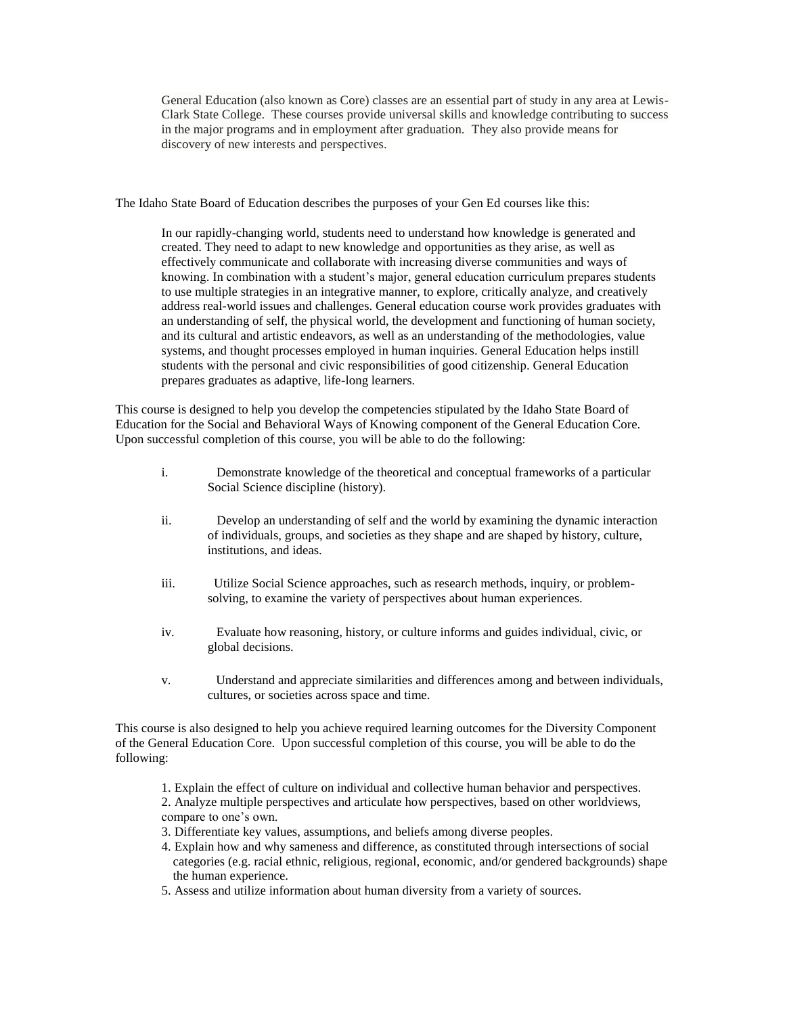General Education (also known as Core) classes are an essential part of study in any area at Lewis-Clark State College. These courses provide universal skills and knowledge contributing to success in the major programs and in employment after graduation. They also provide means for discovery of new interests and perspectives.

The Idaho State Board of Education describes the purposes of your Gen Ed courses like this:

In our rapidly-changing world, students need to understand how knowledge is generated and created. They need to adapt to new knowledge and opportunities as they arise, as well as effectively communicate and collaborate with increasing diverse communities and ways of knowing. In combination with a student's major, general education curriculum prepares students to use multiple strategies in an integrative manner, to explore, critically analyze, and creatively address real-world issues and challenges. General education course work provides graduates with an understanding of self, the physical world, the development and functioning of human society, and its cultural and artistic endeavors, as well as an understanding of the methodologies, value systems, and thought processes employed in human inquiries. General Education helps instill students with the personal and civic responsibilities of good citizenship. General Education prepares graduates as adaptive, life-long learners.

This course is designed to help you develop the competencies stipulated by the Idaho State Board of Education for the Social and Behavioral Ways of Knowing component of the General Education Core. Upon successful completion of this course, you will be able to do the following:

- i. Demonstrate knowledge of the theoretical and conceptual frameworks of a particular Social Science discipline (history).
- ii. Develop an understanding of self and the world by examining the dynamic interaction of individuals, groups, and societies as they shape and are shaped by history, culture, institutions, and ideas.
- iii. Utilize Social Science approaches, such as research methods, inquiry, or problemsolving, to examine the variety of perspectives about human experiences.
- iv. Evaluate how reasoning, history, or culture informs and guides individual, civic, or global decisions.
- v. Understand and appreciate similarities and differences among and between individuals, cultures, or societies across space and time.

This course is also designed to help you achieve required learning outcomes for the Diversity Component of the General Education Core. Upon successful completion of this course, you will be able to do the following:

- 1. Explain the effect of culture on individual and collective human behavior and perspectives.
- 2. Analyze multiple perspectives and articulate how perspectives, based on other worldviews, compare to one's own.
- 3. Differentiate key values, assumptions, and beliefs among diverse peoples.
- 4. Explain how and why sameness and difference, as constituted through intersections of social categories (e.g. racial ethnic, religious, regional, economic, and/or gendered backgrounds) shape the human experience.
- 5. Assess and utilize information about human diversity from a variety of sources.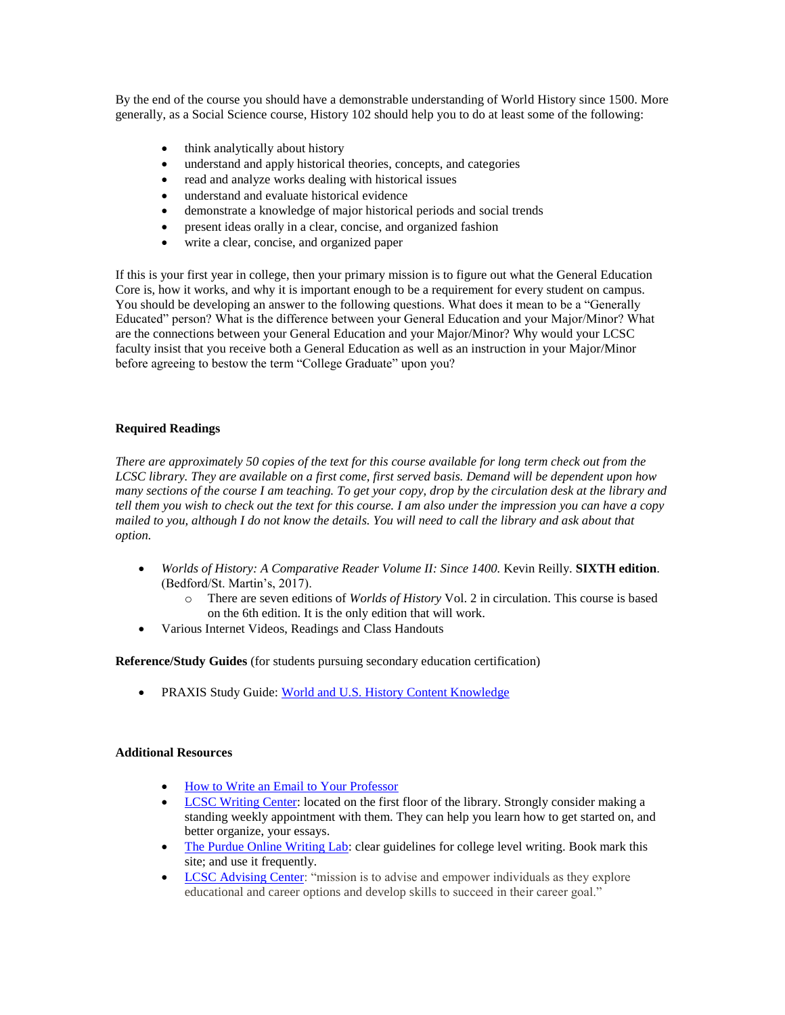By the end of the course you should have a demonstrable understanding of World History since 1500. More generally, as a Social Science course, History 102 should help you to do at least some of the following:

- think analytically about history
- understand and apply historical theories, concepts, and categories
- read and analyze works dealing with historical issues
- understand and evaluate historical evidence
- demonstrate a knowledge of major historical periods and social trends
- present ideas orally in a clear, concise, and organized fashion
- write a clear, concise, and organized paper

If this is your first year in college, then your primary mission is to figure out what the General Education Core is, how it works, and why it is important enough to be a requirement for every student on campus. You should be developing an answer to the following questions. What does it mean to be a "Generally Educated" person? What is the difference between your General Education and your Major/Minor? What are the connections between your General Education and your Major/Minor? Why would your LCSC faculty insist that you receive both a General Education as well as an instruction in your Major/Minor before agreeing to bestow the term "College Graduate" upon you?

# **Required Readings**

*There are approximately 50 copies of the text for this course available for long term check out from the LCSC library. They are available on a first come, first served basis. Demand will be dependent upon how many sections of the course I am teaching. To get your copy, drop by the circulation desk at the library and tell them you wish to check out the text for this course. I am also under the impression you can have a copy mailed to you, although I do not know the details. You will need to call the library and ask about that option.*

- *Worlds of History: A Comparative Reader Volume II: Since 1400.* Kevin Reilly. **SIXTH edition**. (Bedford/St. Martin's, 2017).
	- o There are seven editions of *Worlds of History* Vol. 2 in circulation. This course is based on the 6th edition. It is the only edition that will work.
- Various Internet Videos, Readings and Class Handouts

**Reference/Study Guides** (for students pursuing secondary education certification)

• PRAXIS Study Guide[: World and U.S. History Content Knowledge](http://www.ets.org/s/praxis/pdf/5941.pdf)

### **Additional Resources**

- [How to Write an Email to Your Professor](https://www.insidehighered.com/views/2015/04/16/advice-students-so-they-dont-sound-silly-emails-essay)
- [LCSC Writing Center:](http://www.lcsc.edu/writing-center/) located on the first floor of the library. Strongly consider making a standing weekly appointment with them. They can help you learn how to get started on, and better organize, your essays.
- [The Purdue Online Writing Lab:](http://owl.english.purdue.edu/) clear guidelines for college level writing. Book mark this site; and use it frequently.
- [LCSC Advising Center:](https://www.lcsc.edu/advising-center/) "mission is to advise and empower individuals as they explore educational and career options and develop skills to succeed in their career goal."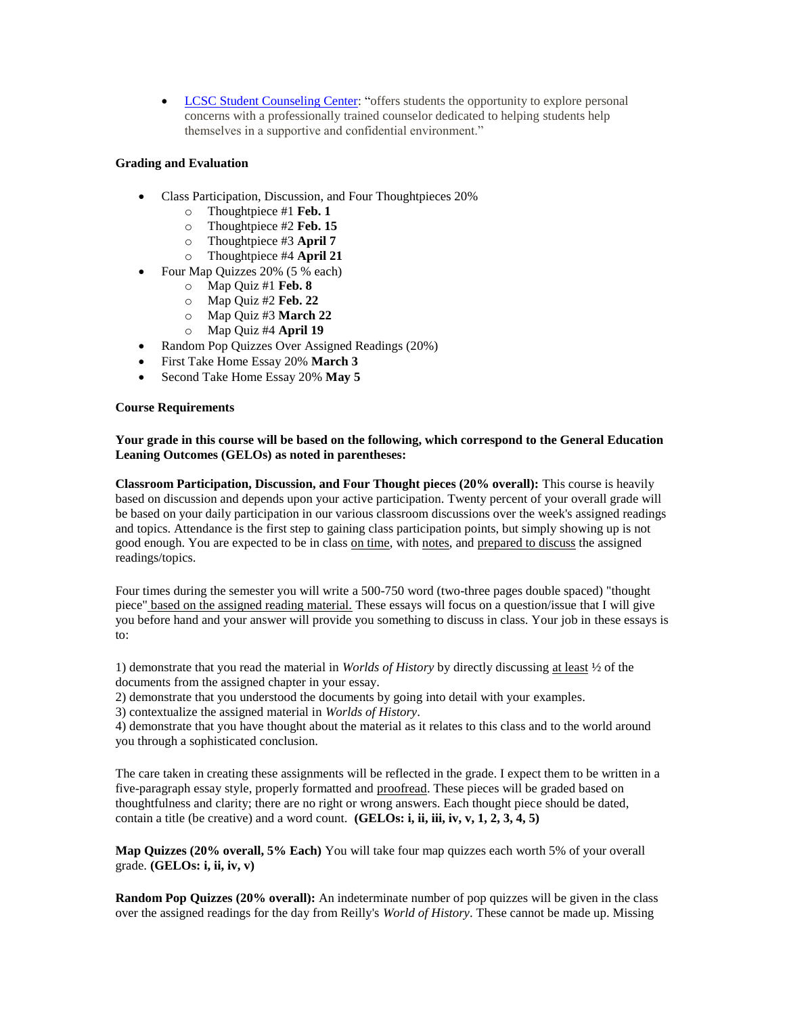• [LCSC Student Counseling Center:](https://www.lcsc.edu/student-counseling/) "offers students the opportunity to explore personal concerns with a professionally trained counselor dedicated to helping students help themselves in a supportive and confidential environment."

# **Grading and Evaluation**

- Class Participation, Discussion, and Four Thoughtpieces 20%
	- o Thoughtpiece #1 **Feb. 1**
	- o Thoughtpiece #2 **Feb. 15**
	- o Thoughtpiece #3 **April 7**
	- o Thoughtpiece #4 **April 21**
	- Four Map Quizzes 20% (5 % each)
		- o Map Quiz #1 **Feb. 8**
		- o Map Quiz #2 **Feb. 22**
		- o Map Quiz #3 **March 22**
		- o Map Quiz #4 **April 19**
- Random Pop Quizzes Over Assigned Readings (20%)
- First Take Home Essay 20% **March 3**
- Second Take Home Essay 20% **May 5**

# **Course Requirements**

# **Your grade in this course will be based on the following, which correspond to the General Education Leaning Outcomes (GELOs) as noted in parentheses:**

**Classroom Participation, Discussion, and Four Thought pieces (20% overall):** This course is heavily based on discussion and depends upon your active participation. Twenty percent of your overall grade will be based on your daily participation in our various classroom discussions over the week's assigned readings and topics. Attendance is the first step to gaining class participation points, but simply showing up is not good enough. You are expected to be in class on time, with notes, and prepared to discuss the assigned readings/topics.

Four times during the semester you will write a 500-750 word (two-three pages double spaced) "thought piece" based on the assigned reading material. These essays will focus on a question/issue that I will give you before hand and your answer will provide you something to discuss in class. Your job in these essays is to:

1) demonstrate that you read the material in *Worlds of History* by directly discussing at least ½ of the documents from the assigned chapter in your essay.

2) demonstrate that you understood the documents by going into detail with your examples.

3) contextualize the assigned material in *Worlds of History*.

4) demonstrate that you have thought about the material as it relates to this class and to the world around you through a sophisticated conclusion.

The care taken in creating these assignments will be reflected in the grade. I expect them to be written in a five-paragraph essay style, properly formatted and proofread. These pieces will be graded based on thoughtfulness and clarity; there are no right or wrong answers. Each thought piece should be dated, contain a title (be creative) and a word count. **(GELOs: i, ii, iii, iv, v, 1, 2, 3, 4, 5)**

**Map Quizzes (20% overall, 5% Each)** You will take four map quizzes each worth 5% of your overall grade. **(GELOs: i, ii, iv, v)**

**Random Pop Quizzes (20% overall):** An indeterminate number of pop quizzes will be given in the class over the assigned readings for the day from Reilly's *World of History*. These cannot be made up. Missing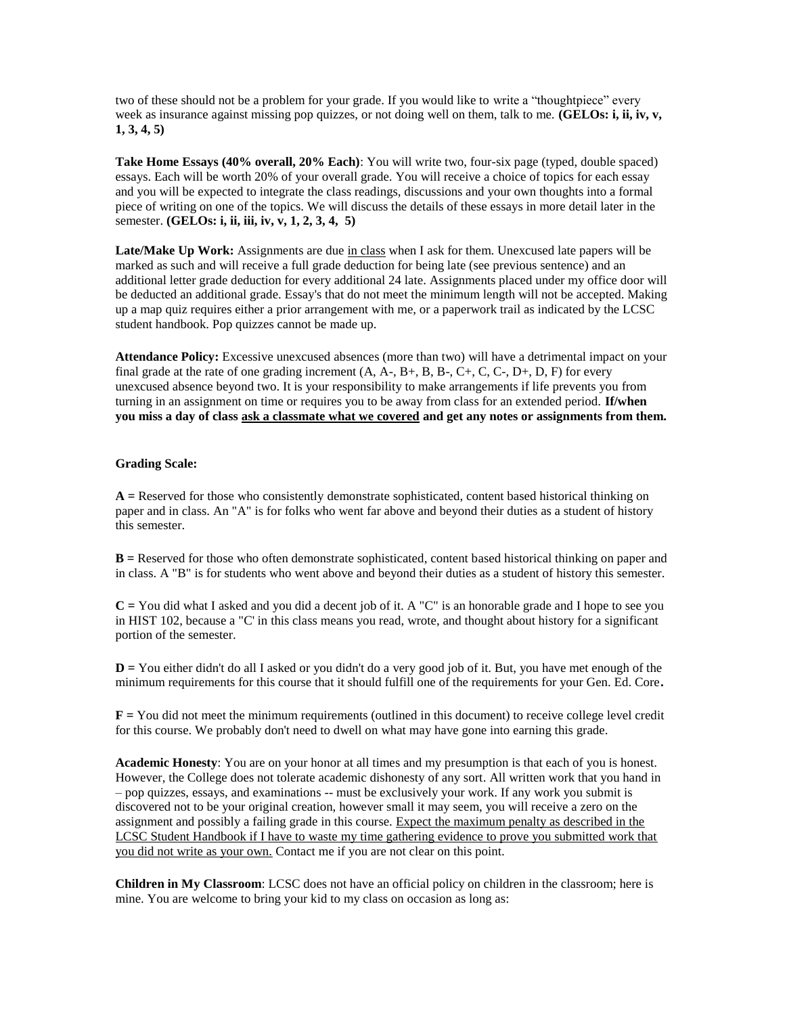two of these should not be a problem for your grade. If you would like to write a "thoughtpiece" every week as insurance against missing pop quizzes, or not doing well on them, talk to me. **(GELOs: i, ii, iv, v, 1, 3, 4, 5)**

**Take Home Essays (40% overall, 20% Each)**: You will write two, four-six page (typed, double spaced) essays. Each will be worth 20% of your overall grade. You will receive a choice of topics for each essay and you will be expected to integrate the class readings, discussions and your own thoughts into a formal piece of writing on one of the topics. We will discuss the details of these essays in more detail later in the semester. **(GELOs: i, ii, iii, iv, v, 1, 2, 3, 4, 5)**

Late/Make Up Work: Assignments are due in class when I ask for them. Unexcused late papers will be marked as such and will receive a full grade deduction for being late (see previous sentence) and an additional letter grade deduction for every additional 24 late. Assignments placed under my office door will be deducted an additional grade. Essay's that do not meet the minimum length will not be accepted. Making up a map quiz requires either a prior arrangement with me, or a paperwork trail as indicated by the LCSC student handbook. Pop quizzes cannot be made up.

**Attendance Policy:** Excessive unexcused absences (more than two) will have a detrimental impact on your final grade at the rate of one grading increment  $(A, A-, B+, B, B-, C+, C, C-, D+, D, F)$  for every unexcused absence beyond two. It is your responsibility to make arrangements if life prevents you from turning in an assignment on time or requires you to be away from class for an extended period. **If/when you miss a day of class ask a classmate what we covered and get any notes or assignments from them.**

### **Grading Scale:**

**A =** Reserved for those who consistently demonstrate sophisticated, content based historical thinking on paper and in class. An "A" is for folks who went far above and beyond their duties as a student of history this semester.

**B =** Reserved for those who often demonstrate sophisticated, content based historical thinking on paper and in class. A "B" is for students who went above and beyond their duties as a student of history this semester.

**C =** You did what I asked and you did a decent job of it. A "C" is an honorable grade and I hope to see you in HIST 102, because a "C' in this class means you read, wrote, and thought about history for a significant portion of the semester.

**D =** You either didn't do all I asked or you didn't do a very good job of it. But, you have met enough of the minimum requirements for this course that it should fulfill one of the requirements for your Gen. Ed. Core**.** 

**F =** You did not meet the minimum requirements (outlined in this document) to receive college level credit for this course. We probably don't need to dwell on what may have gone into earning this grade.

**Academic Honesty**: You are on your honor at all times and my presumption is that each of you is honest. However, the College does not tolerate academic dishonesty of any sort. All written work that you hand in – pop quizzes, essays, and examinations -- must be exclusively your work. If any work you submit is discovered not to be your original creation, however small it may seem, you will receive a zero on the assignment and possibly a failing grade in this course. Expect the maximum penalty as described in the LCSC Student Handbook if I have to waste my time gathering evidence to prove you submitted work that you did not write as your own. Contact me if you are not clear on this point.

**Children in My Classroom**: LCSC does not have an official policy on children in the classroom; here is mine. You are welcome to bring your kid to my class on occasion as long as: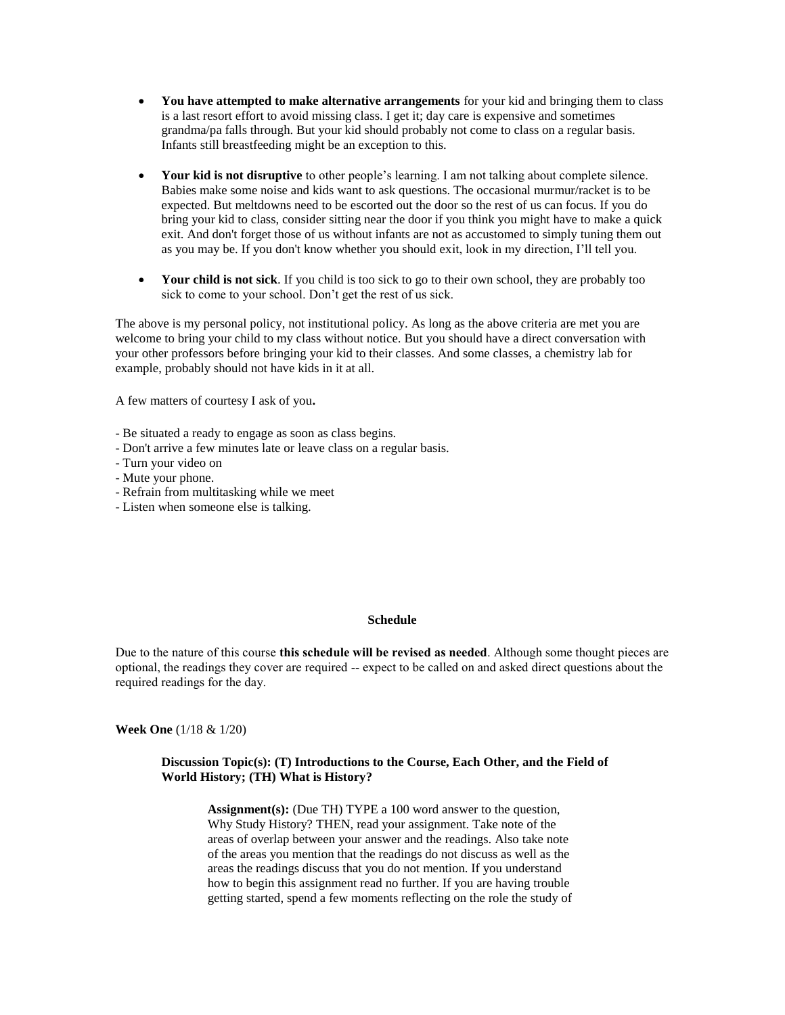- **You have attempted to make alternative arrangements** for your kid and bringing them to class is a last resort effort to avoid missing class. I get it; day care is expensive and sometimes grandma/pa falls through. But your kid should probably not come to class on a regular basis. Infants still breastfeeding might be an exception to this.
- **Your kid is not disruptive** to other people's learning. I am not talking about complete silence. Babies make some noise and kids want to ask questions. The occasional murmur/racket is to be expected. But meltdowns need to be escorted out the door so the rest of us can focus. If you do bring your kid to class, consider sitting near the door if you think you might have to make a quick exit. And don't forget those of us without infants are not as accustomed to simply tuning them out as you may be. If you don't know whether you should exit, look in my direction, I'll tell you.
- **Your child is not sick**. If you child is too sick to go to their own school, they are probably too sick to come to your school. Don't get the rest of us sick.

The above is my personal policy, not institutional policy. As long as the above criteria are met you are welcome to bring your child to my class without notice. But you should have a direct conversation with your other professors before bringing your kid to their classes. And some classes, a chemistry lab for example, probably should not have kids in it at all.

A few matters of courtesy I ask of you**.** 

- Be situated a ready to engage as soon as class begins.
- Don't arrive a few minutes late or leave class on a regular basis.
- Turn your video on
- Mute your phone.
- Refrain from multitasking while we meet
- Listen when someone else is talking.

### **Schedule**

Due to the nature of this course **this schedule will be revised as needed**. Although some thought pieces are optional, the readings they cover are required -- expect to be called on and asked direct questions about the required readings for the day.

**Week One** (1/18 & 1/20)

# **Discussion Topic(s): (T) Introductions to the Course, Each Other, and the Field of World History; (TH) What is History?**

**Assignment(s):** (Due TH) TYPE a 100 word answer to the question, Why Study History? THEN, read your assignment. Take note of the areas of overlap between your answer and the readings. Also take note of the areas you mention that the readings do not discuss as well as the areas the readings discuss that you do not mention. If you understand how to begin this assignment read no further. If you are having trouble getting started, spend a few moments reflecting on the role the study of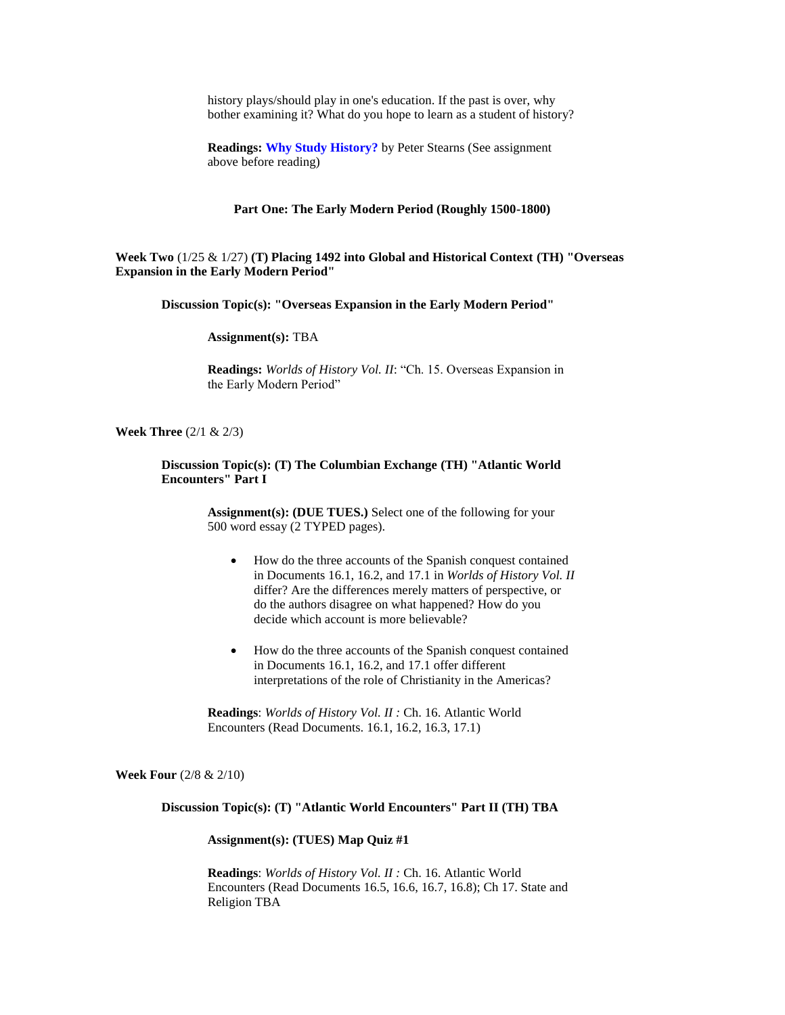history plays/should play in one's education. If the past is over, why bother examining it? What do you hope to learn as a student of history?

**Readings: [Why Study History?](http://www.historians.org/pubs/free/WhyStudyHistory.htm)** by Peter Stearns (See assignment above before reading)

#### **Part One: The Early Modern Period (Roughly 1500-1800)**

**Week Two** (1/25 & 1/27) **(T) Placing 1492 into Global and Historical Context (TH) "Overseas Expansion in the Early Modern Period"** 

**Discussion Topic(s): "Overseas Expansion in the Early Modern Period"** 

**Assignment(s):** TBA

**Readings:** *Worlds of History Vol. II*: "Ch. 15. Overseas Expansion in the Early Modern Period"

**Week Three** (2/1 & 2/3)

**Discussion Topic(s): (T) The Columbian Exchange (TH) "Atlantic World Encounters" Part I**

> **Assignment(s): (DUE TUES.)** Select one of the following for your 500 word essay (2 TYPED pages).

- How do the three accounts of the Spanish conquest contained in Documents 16.1, 16.2, and 17.1 in *Worlds of History Vol. II*  differ? Are the differences merely matters of perspective, or do the authors disagree on what happened? How do you decide which account is more believable?
- How do the three accounts of the Spanish conquest contained in Documents 16.1, 16.2, and 17.1 offer different interpretations of the role of Christianity in the Americas?

**Readings**: *Worlds of History Vol. II :* Ch. 16. Atlantic World Encounters (Read Documents. 16.1, 16.2, 16.3, 17.1)

**Week Four** (2/8 & 2/10)

**Discussion Topic(s): (T) "Atlantic World Encounters" Part II (TH) TBA**

**Assignment(s): (TUES) Map Quiz #1**

**Readings**: *Worlds of History Vol. II :* Ch. 16. Atlantic World Encounters (Read Documents 16.5, 16.6, 16.7, 16.8); Ch 17. State and Religion TBA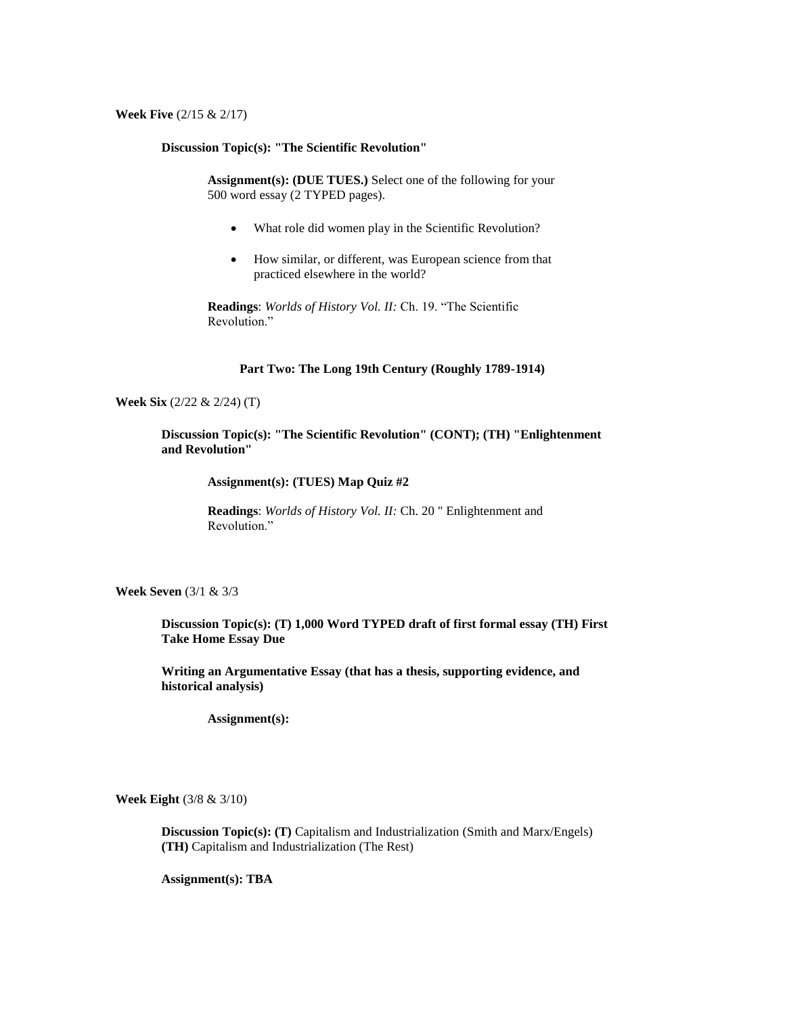**Week Five** (2/15 & 2/17)

# **Discussion Topic(s): "The Scientific Revolution"**

**Assignment(s): (DUE TUES.)** Select one of the following for your 500 word essay (2 TYPED pages).

- What role did women play in the Scientific Revolution?
- How similar, or different, was European science from that practiced elsewhere in the world?

**Readings**: *Worlds of History Vol. II:* Ch. 19. "The Scientific Revolution."

### **Part Two: The Long 19th Century (Roughly 1789-1914)**

# **Week Six** (2/22 & 2/24) (T)

**Discussion Topic(s): "The Scientific Revolution" (CONT); (TH) "Enlightenment and Revolution"** 

**Assignment(s): (TUES) Map Quiz #2**

**Readings**: *Worlds of History Vol. II:* Ch. 20 " Enlightenment and Revolution."

**Week Seven** (3/1 & 3/3

**Discussion Topic(s): (T) 1,000 Word TYPED draft of first formal essay (TH) First Take Home Essay Due** 

**Writing an Argumentative Essay (that has a thesis, supporting evidence, and historical analysis)**

**Assignment(s):**

**Week Eight** (3/8 & 3/10)

**Discussion Topic(s): (T)** Capitalism and Industrialization (Smith and Marx/Engels) **(TH)** Capitalism and Industrialization (The Rest)

**Assignment(s): TBA**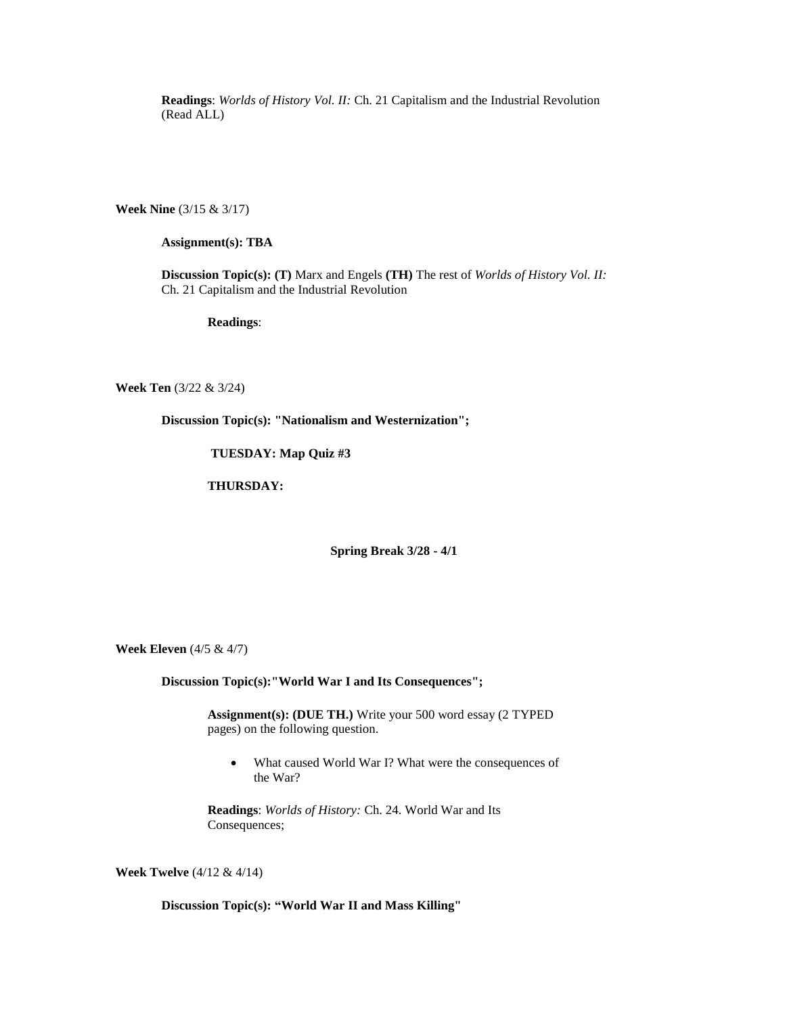**Readings**: *Worlds of History Vol. II:* Ch. 21 Capitalism and the Industrial Revolution (Read ALL)

**Week Nine** (3/15 & 3/17)

## **Assignment(s): TBA**

**Discussion Topic(s): (T)** Marx and Engels **(TH)** The rest of *Worlds of History Vol. II:* Ch. 21 Capitalism and the Industrial Revolution

**Readings**:

**Week Ten** (3/22 & 3/24)

**Discussion Topic(s): "Nationalism and Westernization";** 

**TUESDAY: Map Quiz #3**

**THURSDAY:**

**Spring Break 3/28 - 4/1**

**Week Eleven** (4/5 & 4/7)

**Discussion Topic(s):"World War I and Its Consequences";** 

**Assignment(s): (DUE TH.)** Write your 500 word essay (2 TYPED pages) on the following question.

• What caused World War I? What were the consequences of the War?

**Readings**: *Worlds of History:* Ch. 24. World War and Its Consequences;

**Week Twelve** (4/12 & 4/14)

**Discussion Topic(s): "World War II and Mass Killing"**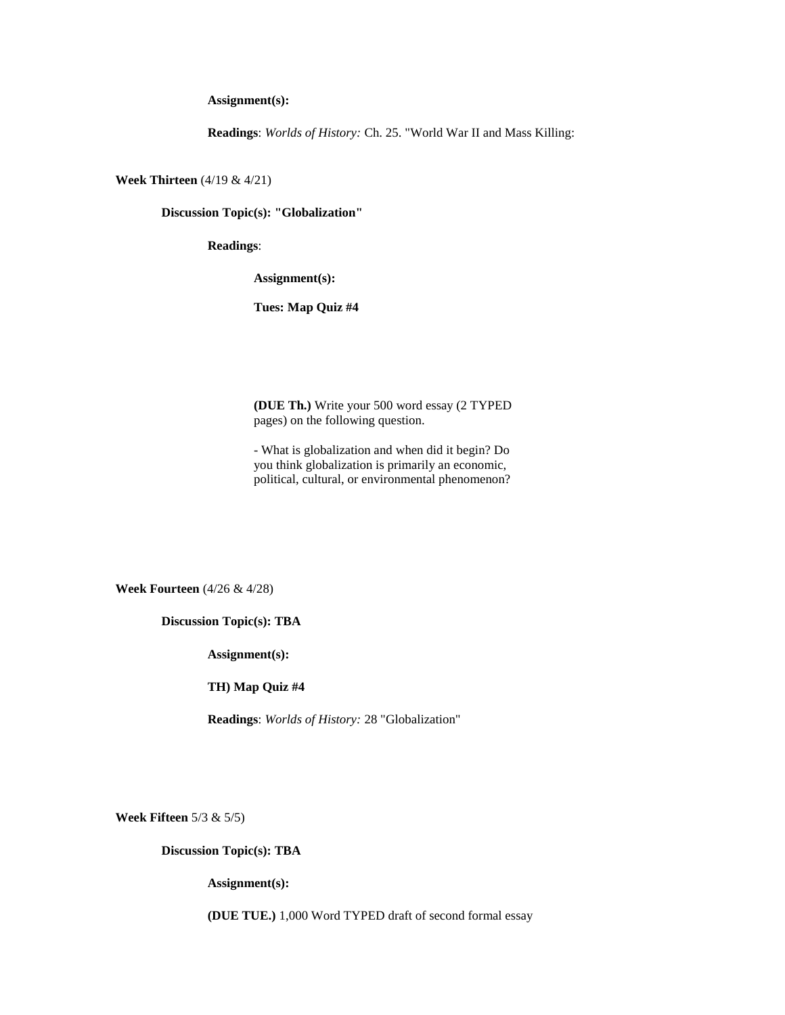**Assignment(s):**

**Readings**: *Worlds of History:* Ch. 25. "World War II and Mass Killing:

**Week Thirteen** (4/19 & 4/21)

**Discussion Topic(s): "Globalization"**

**Readings**:

**Assignment(s):** 

**Tues: Map Quiz #4**

**(DUE Th.)** Write your 500 word essay (2 TYPED pages) on the following question.

- What is globalization and when did it begin? Do you think globalization is primarily an economic, political, cultural, or environmental phenomenon?

**Week Fourteen** (4/26 & 4/28)

**Discussion Topic(s): TBA**

**Assignment(s):** 

**TH) Map Quiz #4**

**Readings**: *Worlds of History:* 28 "Globalization"

**Week Fifteen** 5/3 & 5/5)

**Discussion Topic(s): TBA**

**Assignment(s):** 

**(DUE TUE.)** 1,000 Word TYPED draft of second formal essay